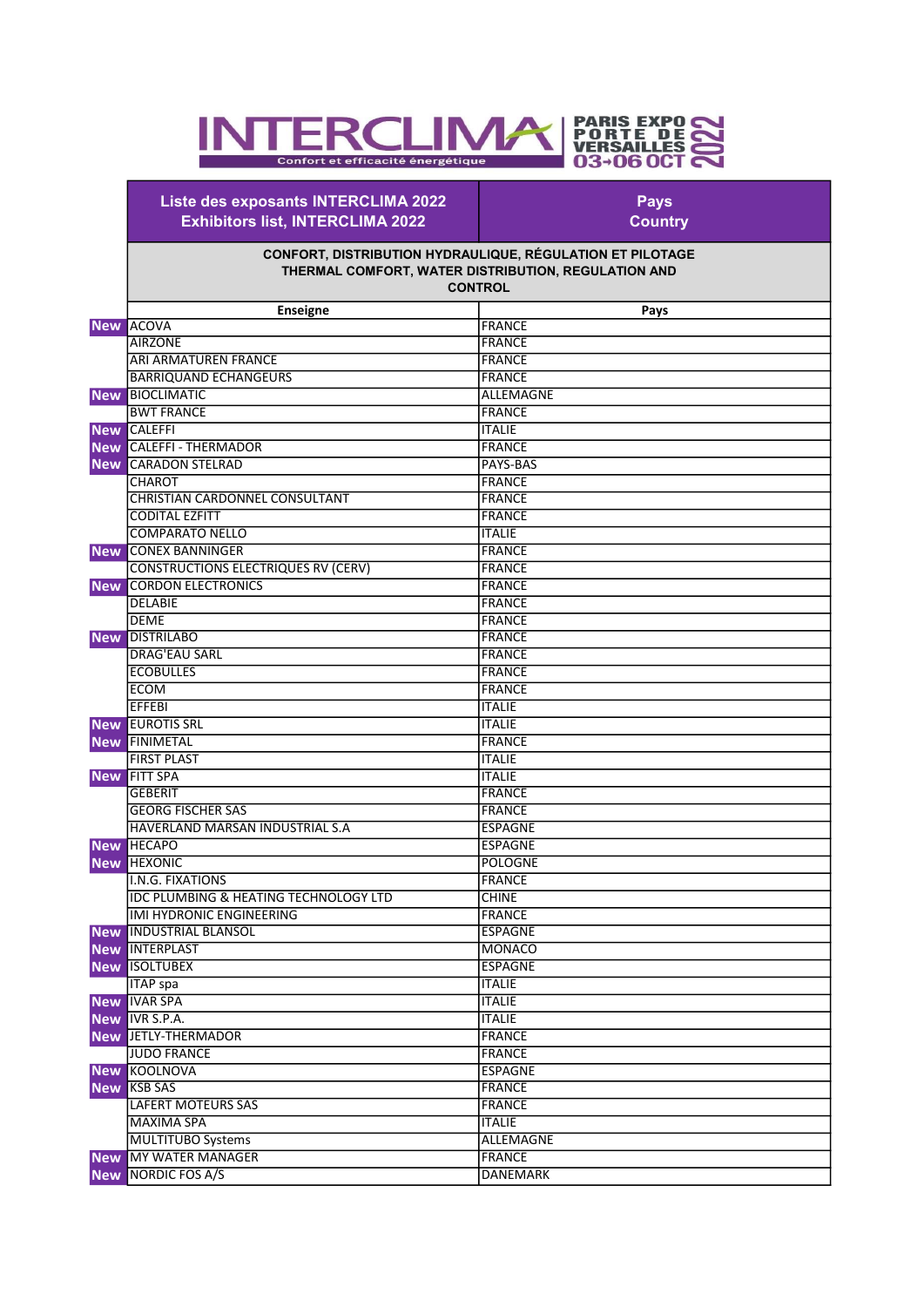## **PARIS EXPO<br>
PORTE DE<br>
VERSAILLES<br>
03-06 OCT ERCLIMA** IN Confort et efficacité énergétique

Liste des exposants INTERCLIMA 2022 Exhibitors list, INTERCLIMA 2022

Pays **Country** 

## CONFORT, DISTRIBUTION HYDRAULIQUE, RÉGULATION ET PILOTAGE THERMAL COMFORT, WATER DISTRIBUTION, REGULATION AND **CONTROL**

|            | <b>Enseigne</b>                                  | Pays            |
|------------|--------------------------------------------------|-----------------|
|            | <b>New ACOVA</b>                                 | <b>FRANCE</b>   |
|            | <b>AIRZONE</b>                                   | <b>FRANCE</b>   |
|            | <b>ARI ARMATUREN FRANCE</b>                      | <b>FRANCE</b>   |
|            | <b>BARRIQUAND ECHANGEURS</b>                     | <b>FRANCE</b>   |
|            | New BIOCLIMATIC                                  | ALLEMAGNE       |
|            | <b>BWT FRANCE</b>                                | <b>FRANCE</b>   |
|            | <b>New CALEFFI</b>                               | <b>ITALIE</b>   |
|            | <b>New CALEFFI - THERMADOR</b>                   | <b>FRANCE</b>   |
| <b>New</b> | <b>CARADON STELRAD</b>                           | <b>PAYS-BAS</b> |
|            | <b>CHAROT</b>                                    | <b>FRANCE</b>   |
|            | <b>CHRISTIAN CARDONNEL CONSULTANT</b>            | <b>FRANCE</b>   |
|            | <b>CODITAL EZFITT</b>                            | <b>FRANCE</b>   |
|            | <b>COMPARATO NELLO</b>                           | <b>ITALIE</b>   |
|            | <b>New CONEX BANNINGER</b>                       | <b>FRANCE</b>   |
|            | <b>CONSTRUCTIONS ELECTRIQUES RV (CERV)</b>       | <b>FRANCE</b>   |
| <b>New</b> | <b>CORDON ELECTRONICS</b>                        | <b>FRANCE</b>   |
|            | <b>DELABIE</b>                                   | <b>FRANCE</b>   |
|            | <b>DEME</b>                                      | <b>FRANCE</b>   |
|            | <b>New DISTRILABO</b>                            | <b>FRANCE</b>   |
|            | <b>DRAG'EAU SARL</b>                             | <b>FRANCE</b>   |
|            | <b>ECOBULLES</b>                                 | <b>FRANCE</b>   |
|            | <b>ECOM</b>                                      | <b>FRANCE</b>   |
|            | <b>EFFEBI</b>                                    | <b>ITALIE</b>   |
|            | <b>New EUROTIS SRL</b>                           | <b>ITALIE</b>   |
| <b>New</b> | <b>FINIMETAL</b>                                 | <b>FRANCE</b>   |
|            | <b>FIRST PLAST</b>                               | <b>ITALIE</b>   |
| <b>New</b> | <b>FITT SPA</b>                                  | <b>ITALIE</b>   |
|            | <b>GEBERIT</b>                                   | <b>FRANCE</b>   |
|            | <b>GEORG FISCHER SAS</b>                         | <b>FRANCE</b>   |
|            | HAVERLAND MARSAN INDUSTRIAL S.A                  | <b>ESPAGNE</b>  |
|            | <b>New HECAPO</b>                                | <b>ESPAGNE</b>  |
| <b>New</b> | <b>HEXONIC</b>                                   | POLOGNE         |
|            | <b>I.N.G. FIXATIONS</b>                          | <b>FRANCE</b>   |
|            | <b>IDC PLUMBING &amp; HEATING TECHNOLOGY LTD</b> | <b>CHINE</b>    |
|            | <b>IMI HYDRONIC ENGINEERING</b>                  | <b>FRANCE</b>   |
|            | <b>New INDUSTRIAL BLANSOL</b>                    | <b>ESPAGNE</b>  |
|            | <b>New INTERPLAST</b>                            | <b>MONACO</b>   |
| <b>New</b> | <b>ISOLTUBEX</b>                                 | <b>ESPAGNE</b>  |
|            | <b>ITAP</b> spa                                  | <b>ITALIE</b>   |
|            | <b>New IVAR SPA</b>                              | <b>ITALIE</b>   |
|            | New IVR S.P.A.                                   | <b>ITALIE</b>   |
|            | <b>New JETLY-THERMADOR</b>                       | <b>FRANCE</b>   |
|            | <b>JUDO FRANCE</b>                               | <b>FRANCE</b>   |
|            | <b>New KOOLNOVA</b>                              | <b>ESPAGNE</b>  |
|            | <b>New KSB SAS</b>                               | <b>FRANCE</b>   |
|            | <b>LAFERT MOTEURS SAS</b>                        | <b>FRANCE</b>   |
|            | <b>MAXIMA SPA</b>                                | <b>ITALIE</b>   |
|            | <b>MULTITUBO Systems</b>                         | ALLEMAGNE       |
|            | <b>New MY WATER MANAGER</b>                      | <b>FRANCE</b>   |
|            | New NORDIC FOS A/S                               | <b>DANEMARK</b> |
|            |                                                  |                 |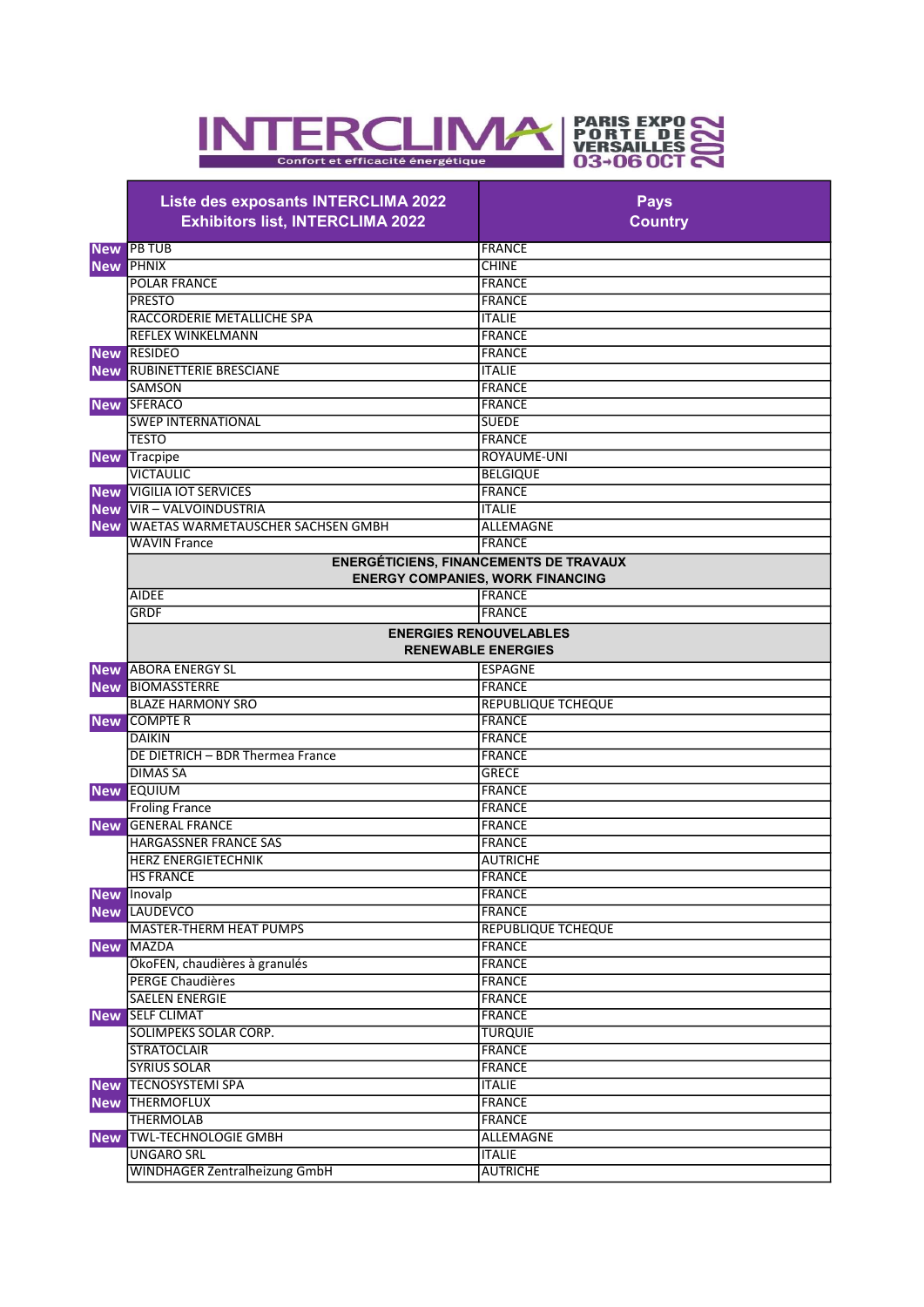

|            | Liste des exposants INTERCLIMA 2022<br><b>Exhibitors list, INTERCLIMA 2022</b> | <b>Pays</b><br><b>Country</b>                              |
|------------|--------------------------------------------------------------------------------|------------------------------------------------------------|
|            | <b>New PB TUB</b>                                                              | <b>FRANCE</b>                                              |
|            | <b>New PHNIX</b>                                                               | <b>CHINE</b>                                               |
|            | <b>POLAR FRANCE</b>                                                            | <b>FRANCE</b>                                              |
|            | <b>PRESTO</b>                                                                  | <b>FRANCE</b>                                              |
|            | RACCORDERIE METALLICHE SPA                                                     | <b>ITALIE</b>                                              |
|            | <b>REFLEX WINKELMANN</b>                                                       | <b>FRANCE</b>                                              |
|            | <b>New RESIDEO</b>                                                             | <b>FRANCE</b>                                              |
|            | <b>New RUBINETTERIE BRESCIANE</b>                                              | <b>ITALIE</b>                                              |
|            | <b>SAMSON</b>                                                                  | <b>FRANCE</b>                                              |
|            | New SFERACO                                                                    | <b>FRANCE</b>                                              |
|            | <b>SWEP INTERNATIONAL</b>                                                      | <b>SUEDE</b>                                               |
|            | <b>TESTO</b>                                                                   | <b>FRANCE</b>                                              |
| <b>New</b> | Tracpipe                                                                       | ROYAUME-UNI                                                |
|            | <b>VICTAULIC</b>                                                               | <b>BELGIQUE</b>                                            |
| <b>New</b> | <b>VIGILIA IOT SERVICES</b>                                                    | <b>FRANCE</b>                                              |
|            | New VIR-VALVOINDUSTRIA                                                         | <b>ITALIE</b>                                              |
|            | New WAETAS WARMETAUSCHER SACHSEN GMBH                                          | <b>ALLEMAGNE</b>                                           |
|            | <b>WAVIN France</b>                                                            | <b>FRANCE</b>                                              |
|            |                                                                                | <b>ENERGÉTICIENS, FINANCEMENTS DE TRAVAUX</b>              |
|            | <b>ENERGY COMPANIES, WORK FINANCING</b>                                        |                                                            |
|            | <b>AIDEE</b>                                                                   | <b>FRANCE</b>                                              |
|            | <b>GRDF</b>                                                                    | <b>FRANCE</b>                                              |
|            |                                                                                | <b>ENERGIES RENOUVELABLES</b><br><b>RENEWABLE ENERGIES</b> |
|            | <b>New ABORA ENERGY SL</b>                                                     | <b>ESPAGNE</b>                                             |
| <b>New</b> | <b>BIOMASSTERRE</b>                                                            | <b>FRANCE</b>                                              |
|            | <b>BLAZE HARMONY SRO</b>                                                       | <b>REPUBLIQUE TCHEQUE</b>                                  |
| <b>New</b> | <b>COMPTER</b>                                                                 | <b>FRANCE</b>                                              |
|            | <b>DAIKIN</b>                                                                  | <b>FRANCE</b>                                              |
|            | DE DIETRICH - BDR Thermea France                                               | <b>FRANCE</b>                                              |
|            | <b>DIMAS SA</b>                                                                | <b>GRECE</b>                                               |
|            | <b>New EQUIUM</b>                                                              | <b>FRANCE</b>                                              |
|            | <b>Froling France</b>                                                          | <b>FRANCE</b>                                              |
|            | <b>New GENERAL FRANCE</b>                                                      | <b>FRANCE</b>                                              |
|            | <b>HARGASSNER FRANCE SAS</b>                                                   | <b>FRANCE</b>                                              |
|            | <b>HERZ ENERGIETECHNIK</b>                                                     | <b>AUTRICHE</b>                                            |
|            | <b>HS FRANCE</b>                                                               | <b>FRANCE</b>                                              |
|            | New Inovalp                                                                    | <b>FRANCE</b>                                              |
|            | <b>New LAUDEVCO</b>                                                            | <b>FRANCE</b>                                              |
|            | <b>MASTER-THERM HEAT PUMPS</b>                                                 | <b>REPUBLIQUE TCHEQUE</b>                                  |
| <b>New</b> | <b>MAZDA</b>                                                                   | <b>FRANCE</b>                                              |
|            | ÖkoFEN, chaudières à granulés                                                  | <b>FRANCE</b>                                              |
|            | <b>PERGE Chaudières</b>                                                        | <b>FRANCE</b>                                              |
|            | <b>SAELEN ENERGIE</b>                                                          | <b>FRANCE</b>                                              |
|            | <b>New SELF CLIMAT</b>                                                         | <b>FRANCE</b>                                              |
|            | SOLIMPEKS SOLAR CORP.                                                          | <b>TURQUIE</b>                                             |
|            | <b>STRATOCLAIR</b>                                                             | <b>FRANCE</b>                                              |
|            | <b>SYRIUS SOLAR</b>                                                            | <b>FRANCE</b>                                              |
|            | <b>New TECNOSYSTEMI SPA</b>                                                    | <b>ITALIE</b>                                              |
|            | <b>New THERMOFLUX</b>                                                          | <b>FRANCE</b>                                              |
|            | <b>THERMOLAB</b>                                                               | <b>FRANCE</b>                                              |
| <b>New</b> | <b>TWL-TECHNOLOGIE GMBH</b>                                                    | ALLEMAGNE                                                  |
|            | <b>UNGARO SRL</b>                                                              | <b>ITALIE</b>                                              |
|            | <b>WINDHAGER Zentralheizung GmbH</b>                                           | <b>AUTRICHE</b>                                            |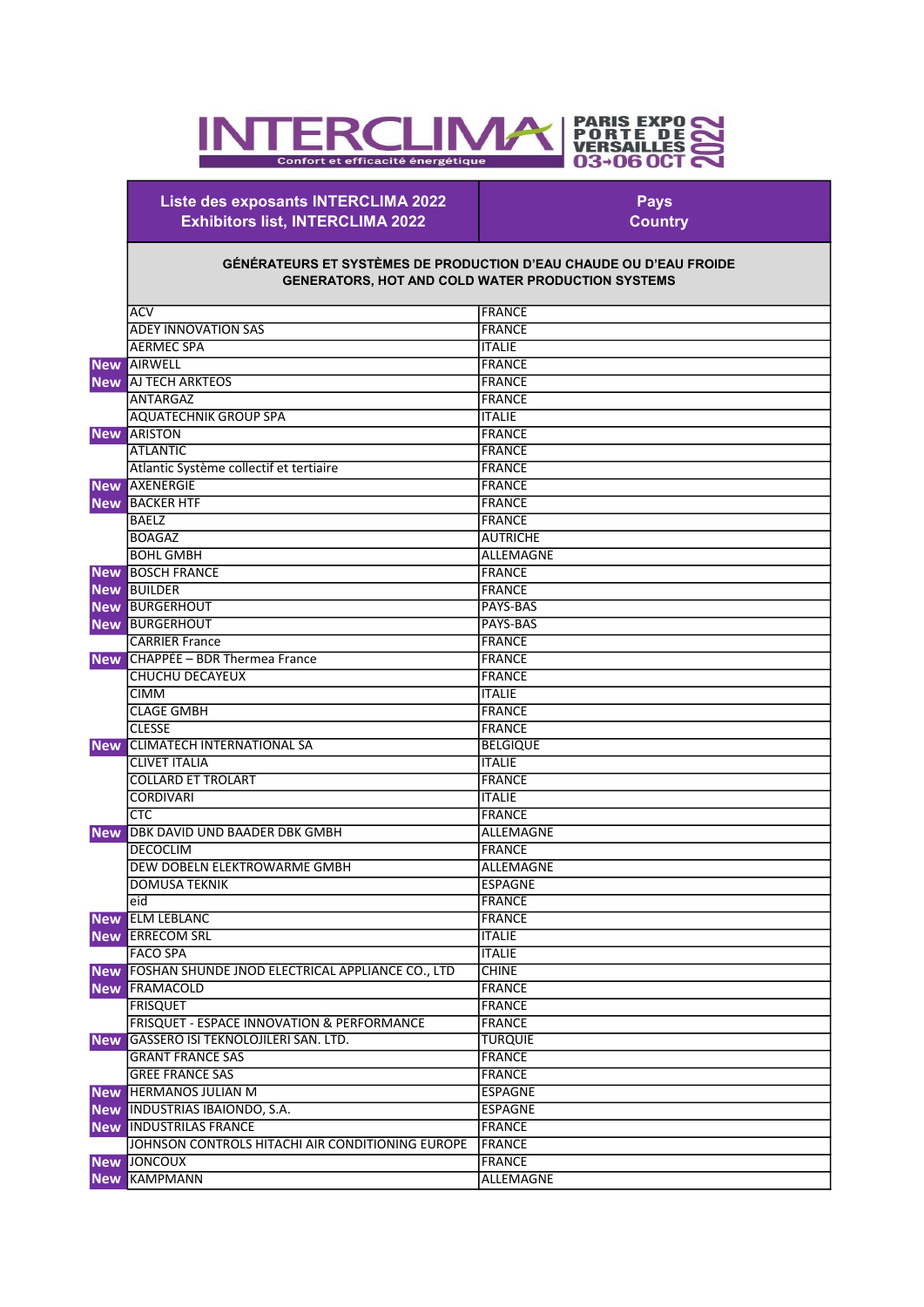## **PARIS EXPO<br>PORTE DE<br>VERSAILLES<br>03-06 OCT** IN **ERCLIMA** Ě Confort et efficacité énergétique

Liste des exposants INTERCLIMA 2022 Exhibitors list, INTERCLIMA 2022

Pays **Country**  П

## GÉNÉRATEURS ET SYSTÈMES DE PRODUCTION D'EAU CHAUDE OU D'EAU FROIDE GENERATORS, HOT AND COLD WATER PRODUCTION SYSTEMS

|            | <b>ACV</b>                                           | <b>FRANCE</b>    |
|------------|------------------------------------------------------|------------------|
|            | <b>ADEY INNOVATION SAS</b>                           | <b>FRANCE</b>    |
|            | <b>AERMEC SPA</b>                                    | <b>ITALIE</b>    |
|            | <b>New AIRWELL</b>                                   | FRANCE           |
|            | <b>New AJ TECH ARKTEOS</b>                           | <b>FRANCE</b>    |
|            | <b>ANTARGAZ</b>                                      | <b>FRANCE</b>    |
|            | <b>AQUATECHNIK GROUP SPA</b>                         | <b>ITALIE</b>    |
|            | <b>New ARISTON</b>                                   | FRANCE           |
|            | <b>ATLANTIC</b>                                      | <b>FRANCE</b>    |
|            | Atlantic Système collectif et tertiaire              | FRANCE           |
| <b>New</b> | AXENERGIE                                            | <b>FRANCE</b>    |
| <b>New</b> | <b>BACKER HTF</b>                                    | FRANCE           |
|            | <b>BAELZ</b>                                         | <b>FRANCE</b>    |
|            | <b>BOAGAZ</b>                                        | <b>AUTRICHE</b>  |
|            | <b>BOHL GMBH</b>                                     | <b>ALLEMAGNE</b> |
|            | <b>New BOSCH FRANCE</b>                              | FRANCE           |
|            | <b>New BUILDER</b>                                   | <b>FRANCE</b>    |
|            | <b>New BURGERHOUT</b>                                | <b>PAYS-BAS</b>  |
|            | <b>New BURGERHOUT</b>                                | PAYS-BAS         |
|            | <b>CARRIER France</b>                                | <b>FRANCE</b>    |
| <b>New</b> | CHAPPÉE - BDR Thermea France                         | FRANCE           |
|            | <b>CHUCHU DECAYEUX</b>                               | FRANCE           |
|            | <b>CIMM</b>                                          | <b>ITALIE</b>    |
|            | <b>CLAGE GMBH</b>                                    | <b>FRANCE</b>    |
|            | <b>CLESSE</b>                                        | <b>FRANCE</b>    |
| <b>New</b> | <b>CLIMATECH INTERNATIONAL SA</b>                    | <b>BELGIQUE</b>  |
|            | <b>CLIVET ITALIA</b>                                 | <b>ITALIE</b>    |
|            | <b>COLLARD ET TROLART</b>                            | <b>FRANCE</b>    |
|            | <b>CORDIVARI</b>                                     | <b>ITALIE</b>    |
|            | <b>CTC</b>                                           | FRANCE           |
| <b>New</b> | DBK DAVID UND BAADER DBK GMBH                        | <b>ALLEMAGNE</b> |
|            | <b>DECOCLIM</b>                                      | <b>FRANCE</b>    |
|            | DEW DOBELN ELEKTROWARME GMBH                         | ALLEMAGNE        |
|            | <b>DOMUSA TEKNIK</b>                                 | <b>ESPAGNE</b>   |
|            | eid                                                  | <b>FRANCE</b>    |
|            | <b>New ELM LEBLANC</b>                               | <b>FRANCE</b>    |
| <b>New</b> | <b>ERRECOM SRL</b>                                   | <b>ITALIE</b>    |
|            | <b>FACO SPA</b>                                      | <b>ITALIE</b>    |
|            | New FOSHAN SHUNDE JNOD ELECTRICAL APPLIANCE CO., LTD | <b>CHINE</b>     |
|            | <b>New FRAMACOLD</b>                                 | FRANCE           |
|            | <b>FRISQUET</b>                                      | FRANCE           |
|            | FRISQUET - ESPACE INNOVATION & PERFORMANCE           | <b>FRANCE</b>    |
|            | New GASSERO ISI TEKNOLOJILERI SAN. LTD.              | <b>TURQUIE</b>   |
|            | <b>GRANT FRANCE SAS</b>                              |                  |
|            |                                                      | <b>FRANCE</b>    |
|            | <b>GREE FRANCE SAS</b>                               | <b>FRANCE</b>    |
|            | <b>New HERMANOS JULIAN M</b>                         | <b>ESPAGNE</b>   |
|            | New INDUSTRIAS IBAIONDO, S.A.                        | <b>ESPAGNE</b>   |
| <b>New</b> | <b>INDUSTRILAS FRANCE</b>                            | FRANCE           |
|            | JOHNSON CONTROLS HITACHI AIR CONDITIONING EUROPE     | FRANCE           |
|            | <b>New JONCOUX</b>                                   | <b>FRANCE</b>    |
| <b>New</b> | <b>KAMPMANN</b>                                      | ALLEMAGNE        |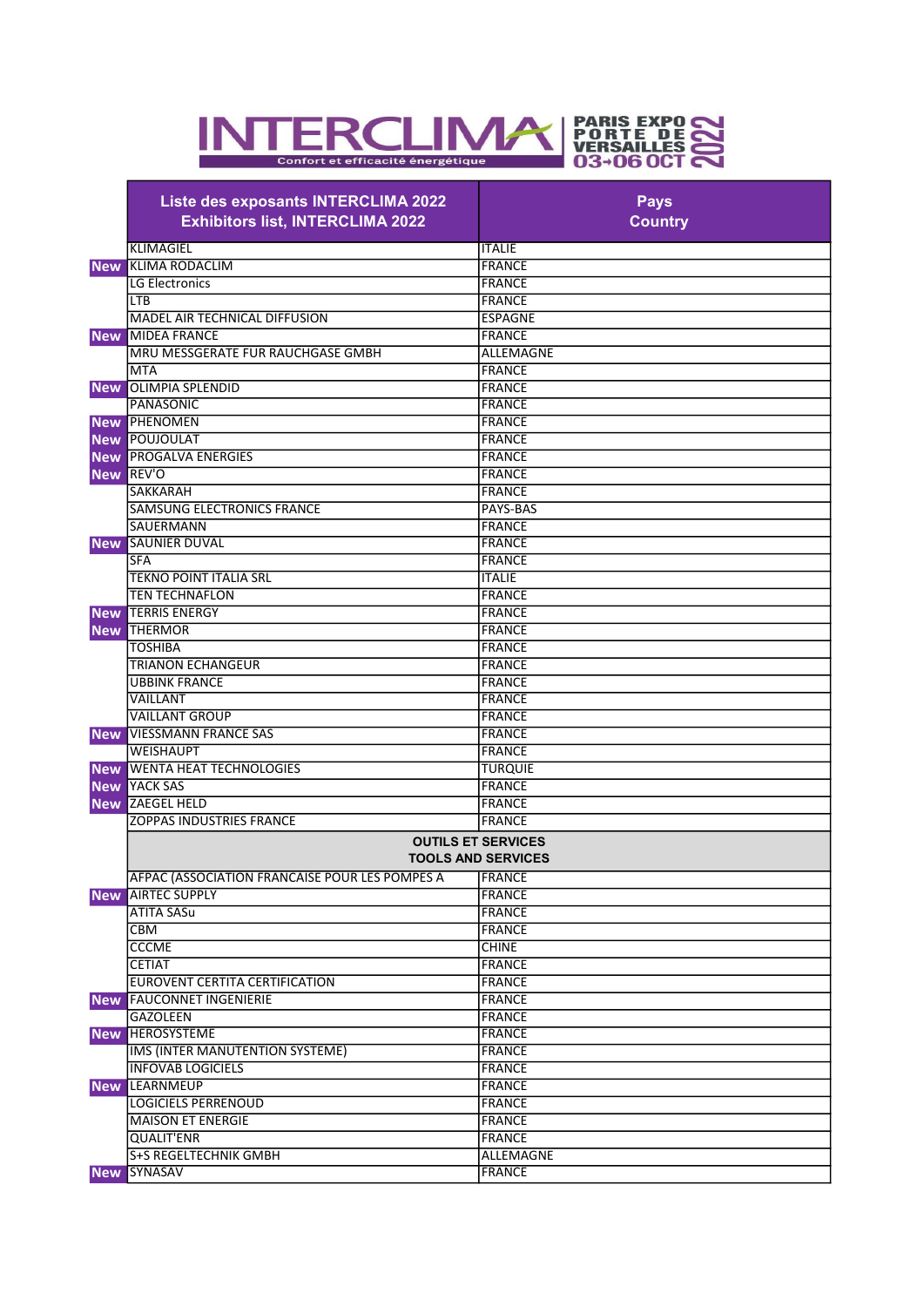

| Liste des exposants INTERCLIMA 2022<br><b>Exhibitors list, INTERCLIMA 2022</b> | <b>Pays</b><br><b>Country</b>                          |
|--------------------------------------------------------------------------------|--------------------------------------------------------|
| <b>KLIMAGIEL</b>                                                               | <b>ITALIE</b>                                          |
| <b>New KLIMA RODACLIM</b>                                                      | <b>FRANCE</b>                                          |
| <b>LG Electronics</b>                                                          | <b>FRANCE</b>                                          |
| <b>LTB</b>                                                                     | <b>FRANCE</b>                                          |
| MADEL AIR TECHNICAL DIFFUSION                                                  | <b>ESPAGNE</b>                                         |
| MIDEA FRANCE<br><b>New</b>                                                     | <b>FRANCE</b>                                          |
| MRU MESSGERATE FUR RAUCHGASE GMBH                                              | <b>ALLEMAGNE</b>                                       |
| <b>MTA</b>                                                                     | <b>FRANCE</b>                                          |
| <b>OLIMPIA SPLENDID</b><br><b>New</b>                                          | <b>FRANCE</b>                                          |
| <b>PANASONIC</b>                                                               | <b>FRANCE</b>                                          |
| PHENOMEN<br><b>New</b>                                                         | FRANCE                                                 |
| <b>New POUJOULAT</b>                                                           |                                                        |
|                                                                                | <b>FRANCE</b>                                          |
| <b>New PROGALVA ENERGIES</b>                                                   | <b>FRANCE</b>                                          |
| REV'O<br><b>New</b>                                                            | <b>FRANCE</b>                                          |
| <b>SAKKARAH</b>                                                                | <b>FRANCE</b>                                          |
| <b>SAMSUNG ELECTRONICS FRANCE</b>                                              | PAYS-BAS                                               |
| <b>SAUERMANN</b>                                                               | <b>FRANCE</b>                                          |
| <b>SAUNIER DUVAL</b><br><b>New</b>                                             | <b>FRANCE</b>                                          |
| <b>SFA</b>                                                                     | <b>FRANCE</b>                                          |
| <b>TEKNO POINT ITALIA SRL</b>                                                  | <b>ITALIE</b>                                          |
| <b>TEN TECHNAFLON</b>                                                          | <b>FRANCE</b>                                          |
| <b>New TERRIS ENERGY</b>                                                       | FRANCE                                                 |
| <b>New THERMOR</b>                                                             | FRANCE                                                 |
| <b>TOSHIBA</b>                                                                 | <b>FRANCE</b>                                          |
| <b>TRIANON ECHANGEUR</b>                                                       | <b>FRANCE</b>                                          |
| <b>UBBINK FRANCE</b>                                                           | <b>FRANCE</b>                                          |
| VAILLANT                                                                       | <b>FRANCE</b>                                          |
| <b>VAILLANT GROUP</b>                                                          | <b>FRANCE</b>                                          |
| <b>VIESSMANN FRANCE SAS</b><br><b>New</b>                                      | FRANCE                                                 |
| <b>WEISHAUPT</b>                                                               | <b>FRANCE</b>                                          |
| <b>New WENTA HEAT TECHNOLOGIES</b>                                             | <b>TURQUIE</b>                                         |
| YACK SAS<br><b>New</b>                                                         | FRANCE                                                 |
| <b>ZAEGEL HELD</b>                                                             |                                                        |
| <b>New</b>                                                                     | FRANCE                                                 |
| <b>ZOPPAS INDUSTRIES FRANCE</b>                                                | <b>FRANCE</b>                                          |
|                                                                                | <b>OUTILS ET SERVICES</b><br><b>TOOLS AND SERVICES</b> |
| AFPAC (ASSOCIATION FRANCAISE POUR LES POMPES A                                 | FRANCE                                                 |
| <b>New AIRTEC SUPPLY</b>                                                       | FRANCE                                                 |
| <b>ATITA SASu</b>                                                              | <b>FRANCE</b>                                          |
| <b>CBM</b>                                                                     | FRANCE                                                 |
| <b>CCCME</b>                                                                   | <b>CHINE</b>                                           |
| <b>CETIAT</b>                                                                  | <b>FRANCE</b>                                          |
| EUROVENT CERTITA CERTIFICATION                                                 | <b>FRANCE</b>                                          |
| <b>New FAUCONNET INGENIERIE</b>                                                | <b>FRANCE</b>                                          |
| <b>GAZOLEEN</b>                                                                | <b>FRANCE</b>                                          |
|                                                                                |                                                        |
| New HEROSYSTEME                                                                | <b>FRANCE</b>                                          |
| IMS (INTER MANUTENTION SYSTEME)                                                | <b>FRANCE</b>                                          |
| <b>INFOVAB LOGICIELS</b>                                                       | <b>FRANCE</b>                                          |
| <b>New LEARNMEUP</b>                                                           | <b>FRANCE</b>                                          |
| <b>LOGICIELS PERRENOUD</b>                                                     | <b>FRANCE</b>                                          |
| <b>MAISON ET ENERGIE</b>                                                       | <b>FRANCE</b>                                          |
| <b>QUALIT'ENR</b>                                                              | <b>FRANCE</b>                                          |
| <b>S+S REGELTECHNIK GMBH</b>                                                   | ALLEMAGNE                                              |
| <b>New SYNASAV</b>                                                             | FRANCE                                                 |